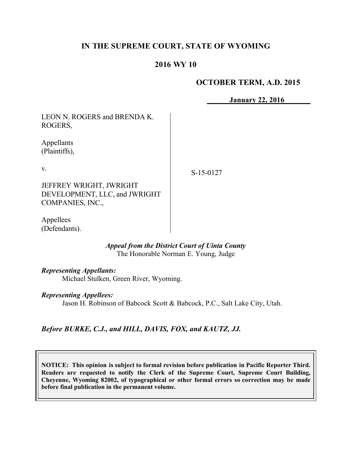# **IN THE SUPREME COURT, STATE OF WYOMING**

## **2016 WY 10**

## **OCTOBER TERM, A.D. 2015**

**January 22, 2016**

LEON N. ROGERS and BRENDA K. ROGERS,

Appellants (Plaintiffs),

v.

S-15-0127

JEFFREY WRIGHT, JWRIGHT DEVELOPMENT, LLC, and JWRIGHT COMPANIES, INC.,

Appellees (Defendants).

> *Appeal from the District Court of Uinta County* The Honorable Norman E. Young, Judge

*Representing Appellants:*

Michael Stulken, Green River, Wyoming.

*Representing Appellees:*

Jason H. Robinson of Babcock Scott & Babcock, P.C., Salt Lake City, Utah.

*Before BURKE, C.J., and HILL, DAVIS, FOX, and KAUTZ, JJ.*

**NOTICE: This opinion is subject to formal revision before publication in Pacific Reporter Third. Readers are requested to notify the Clerk of the Supreme Court, Supreme Court Building, Cheyenne, Wyoming 82002, of typographical or other formal errors so correction may be made before final publication in the permanent volume.**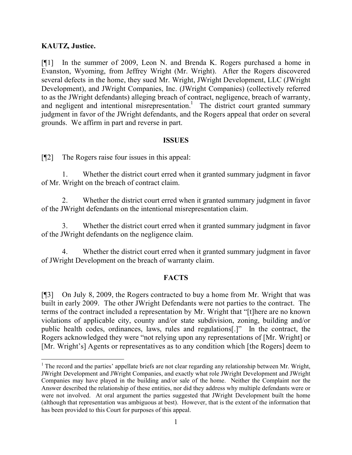## **KAUTZ, Justice.**

 $\overline{a}$ 

[¶1] In the summer of 2009, Leon N. and Brenda K. Rogers purchased a home in Evanston, Wyoming, from Jeffrey Wright (Mr. Wright). After the Rogers discovered several defects in the home, they sued Mr. Wright, JWright Development, LLC (JWright Development), and JWright Companies, Inc. (JWright Companies) (collectively referred to as the JWright defendants) alleging breach of contract, negligence, breach of warranty, and negligent and intentional misrepresentation.<sup>1</sup> The district court granted summary judgment in favor of the JWright defendants, and the Rogers appeal that order on several grounds. We affirm in part and reverse in part.

#### **ISSUES**

[¶2] The Rogers raise four issues in this appeal:

1. Whether the district court erred when it granted summary judgment in favor of Mr. Wright on the breach of contract claim.

2. Whether the district court erred when it granted summary judgment in favor of the JWright defendants on the intentional misrepresentation claim.

3. Whether the district court erred when it granted summary judgment in favor of the JWright defendants on the negligence claim.

4. Whether the district court erred when it granted summary judgment in favor of JWright Development on the breach of warranty claim.

#### **FACTS**

[¶3] On July 8, 2009, the Rogers contracted to buy a home from Mr. Wright that was built in early 2009. The other JWright Defendants were not parties to the contract. The terms of the contract included a representation by Mr. Wright that "[t]here are no known violations of applicable city, county and/or state subdivision, zoning, building and/or public health codes, ordinances, laws, rules and regulations[.]" In the contract, the Rogers acknowledged they were "not relying upon any representations of [Mr. Wright] or [Mr. Wright's] Agents or representatives as to any condition which [the Rogers] deem to

<sup>&</sup>lt;sup>1</sup> The record and the parties' appellate briefs are not clear regarding any relationship between Mr. Wright, JWright Development and JWright Companies, and exactly what role JWright Development and JWright Companies may have played in the building and/or sale of the home. Neither the Complaint nor the Answer described the relationship of these entities, nor did they address why multiple defendants were or were not involved. At oral argument the parties suggested that JWright Development built the home (although that representation was ambiguous at best). However, that is the extent of the information that has been provided to this Court for purposes of this appeal.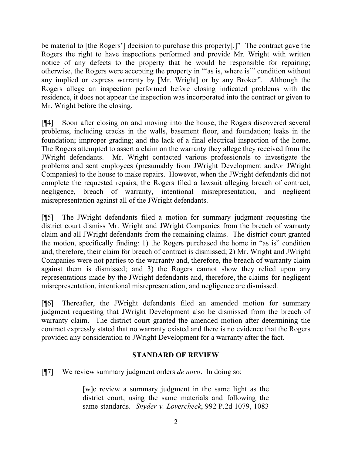be material to [the Rogers'] decision to purchase this property[.]" The contract gave the Rogers the right to have inspections performed and provide Mr. Wright with written notice of any defects to the property that he would be responsible for repairing; otherwise, the Rogers were accepting the property in "'as is, where is'" condition without any implied or express warranty by [Mr. Wright] or by any Broker". Although the Rogers allege an inspection performed before closing indicated problems with the residence, it does not appear the inspection was incorporated into the contract or given to Mr. Wright before the closing.

[¶4] Soon after closing on and moving into the house, the Rogers discovered several problems, including cracks in the walls, basement floor, and foundation; leaks in the foundation; improper grading; and the lack of a final electrical inspection of the home. The Rogers attempted to assert a claim on the warranty they allege they received from the JWright defendants. Mr. Wright contacted various professionals to investigate the problems and sent employees (presumably from JWright Development and/or JWright Companies) to the house to make repairs. However, when the JWright defendants did not complete the requested repairs, the Rogers filed a lawsuit alleging breach of contract, negligence, breach of warranty, intentional misrepresentation, and negligent misrepresentation against all of the JWright defendants.

[¶5] The JWright defendants filed a motion for summary judgment requesting the district court dismiss Mr. Wright and JWright Companies from the breach of warranty claim and all JWright defendants from the remaining claims. The district court granted the motion, specifically finding: 1) the Rogers purchased the home in "as is" condition and, therefore, their claim for breach of contract is dismissed; 2) Mr. Wright and JWright Companies were not parties to the warranty and, therefore, the breach of warranty claim against them is dismissed; and 3) the Rogers cannot show they relied upon any representations made by the JWright defendants and, therefore, the claims for negligent misrepresentation, intentional misrepresentation, and negligence are dismissed.

[¶6] Thereafter, the JWright defendants filed an amended motion for summary judgment requesting that JWright Development also be dismissed from the breach of warranty claim. The district court granted the amended motion after determining the contract expressly stated that no warranty existed and there is no evidence that the Rogers provided any consideration to JWright Development for a warranty after the fact.

## **STANDARD OF REVIEW**

[¶7] We review summary judgment orders *de novo*. In doing so:

[w]e review a summary judgment in the same light as the district court, using the same materials and following the same standards. *Snyder v. Lovercheck*, 992 P.2d 1079, 1083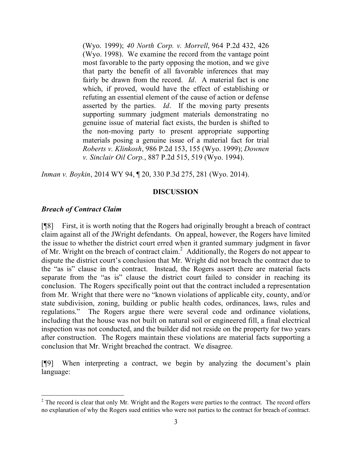(Wyo. 1999); *40 North Corp. v. Morrell*, 964 P.2d 432, 426 (Wyo. 1998). We examine the record from the vantage point most favorable to the party opposing the motion, and we give that party the benefit of all favorable inferences that may fairly be drawn from the record. *Id*. A material fact is one which, if proved, would have the effect of establishing or refuting an essential element of the cause of action or defense asserted by the parties. *Id*. If the moving party presents supporting summary judgment materials demonstrating no genuine issue of material fact exists, the burden is shifted to the non-moving party to present appropriate supporting materials posing a genuine issue of a material fact for trial *Roberts v. Klinkosh*, 986 P.2d 153, 155 (Wyo. 1999); *Downen v. Sinclair Oil Corp.*, 887 P.2d 515, 519 (Wyo. 1994).

*Inman v. Boykin*, 2014 WY 94, ¶ 20, 330 P.3d 275, 281 (Wyo. 2014).

### **DISCUSSION**

### *Breach of Contract Claim*

[¶8] First, it is worth noting that the Rogers had originally brought a breach of contract claim against all of the JWright defendants. On appeal, however, the Rogers have limited the issue to whether the district court erred when it granted summary judgment in favor of Mr. Wright on the breach of contract claim.<sup>2</sup> Additionally, the Rogers do not appear to dispute the district court's conclusion that Mr. Wright did not breach the contract due to the "as is" clause in the contract. Instead, the Rogers assert there are material facts separate from the "as is" clause the district court failed to consider in reaching its conclusion. The Rogers specifically point out that the contract included a representation from Mr. Wright that there were no "known violations of applicable city, county, and/or state subdivision, zoning, building or public health codes, ordinances, laws, rules and regulations." The Rogers argue there were several code and ordinance violations, including that the house was not built on natural soil or engineered fill, a final electrical inspection was not conducted, and the builder did not reside on the property for two years after construction. The Rogers maintain these violations are material facts supporting a conclusion that Mr. Wright breached the contract. We disagree.

[¶9] When interpreting a contract, we begin by analyzing the document's plain language:

 $2$  The record is clear that only Mr. Wright and the Rogers were parties to the contract. The record offers no explanation of why the Rogers sued entities who were not parties to the contract for breach of contract.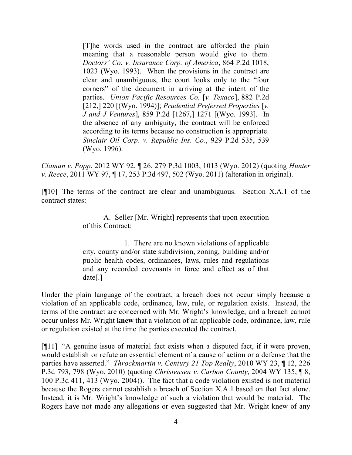[T]he words used in the contract are afforded the plain meaning that a reasonable person would give to them. *Doctors' Co. v. Insurance Corp. of America*, 864 P.2d 1018, 1023 (Wyo. 1993). When the provisions in the contract are clear and unambiguous, the court looks only to the "four corners" of the document in arriving at the intent of the parties. *Union Pacific Resources Co.* [*v. Texaco*], 882 P.2d [212,] 220 [(Wyo. 1994)]; *Prudential Preferred Properties* [*v. J and J Ventures*], 859 P.2d [1267,] 1271 [(Wyo. 1993]. In the absence of any ambiguity, the contract will be enforced according to its terms because no construction is appropriate. *Sinclair Oil Corp*. *v. Republic Ins. Co*., 929 P.2d 535, 539 (Wyo. 1996).

*Claman v. Popp*, 2012 WY 92, ¶ 26, 279 P.3d 1003, 1013 (Wyo. 2012) (quoting *Hunter v. Reece*, 2011 WY 97, ¶ 17, 253 P.3d 497, 502 (Wyo. 2011) (alteration in original).

[¶10] The terms of the contract are clear and unambiguous. Section X.A.1 of the contract states:

> A. Seller [Mr. Wright] represents that upon execution of this Contract:

> 1. There are no known violations of applicable city, county and/or state subdivision, zoning, building and/or public health codes, ordinances, laws, rules and regulations and any recorded covenants in force and effect as of that date[.]

Under the plain language of the contract, a breach does not occur simply because a violation of an applicable code, ordinance, law, rule, or regulation exists. Instead, the terms of the contract are concerned with Mr. Wright's knowledge, and a breach cannot occur unless Mr. Wright **knew** that a violation of an applicable code, ordinance, law, rule or regulation existed at the time the parties executed the contract.

[¶11] "A genuine issue of material fact exists when a disputed fact, if it were proven, would establish or refute an essential element of a cause of action or a defense that the parties have asserted." *Throckmartin v. Century 21 Top Realty*, 2010 WY 23, ¶ 12, 226 P.3d 793, 798 (Wyo. 2010) (quoting *Christensen v. Carbon County*, 2004 WY 135, ¶ 8, 100 P.3d 411, 413 (Wyo. 2004)). The fact that a code violation existed is not material because the Rogers cannot establish a breach of Section X.A.1 based on that fact alone. Instead, it is Mr. Wright's knowledge of such a violation that would be material. The Rogers have not made any allegations or even suggested that Mr. Wright knew of any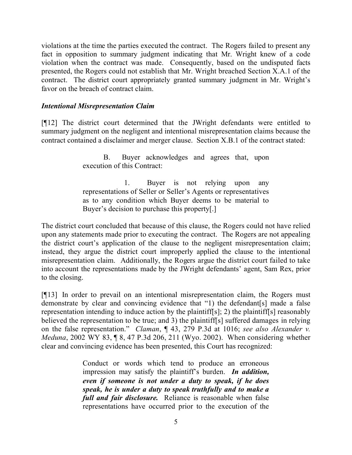violations at the time the parties executed the contract. The Rogers failed to present any fact in opposition to summary judgment indicating that Mr. Wright knew of a code violation when the contract was made. Consequently, based on the undisputed facts presented, the Rogers could not establish that Mr. Wright breached Section X.A.1 of the contract. The district court appropriately granted summary judgment in Mr. Wright's favor on the breach of contract claim.

### *Intentional Misrepresentation Claim*

[¶12] The district court determined that the JWright defendants were entitled to summary judgment on the negligent and intentional misrepresentation claims because the contract contained a disclaimer and merger clause. Section X.B.1 of the contract stated:

> B. Buyer acknowledges and agrees that, upon execution of this Contract:

> 1. Buyer is not relying upon any representations of Seller or Seller's Agents or representatives as to any condition which Buyer deems to be material to Buyer's decision to purchase this property[.]

The district court concluded that because of this clause, the Rogers could not have relied upon any statements made prior to executing the contract. The Rogers are not appealing the district court's application of the clause to the negligent misrepresentation claim; instead, they argue the district court improperly applied the clause to the intentional misrepresentation claim. Additionally, the Rogers argue the district court failed to take into account the representations made by the JWright defendants' agent, Sam Rex, prior to the closing.

[¶13] In order to prevail on an intentional misrepresentation claim, the Rogers must demonstrate by clear and convincing evidence that "1) the defendant[s] made a false representation intending to induce action by the plaintiff[s]; 2) the plaintiff[s] reasonably believed the representation to be true; and 3) the plaintiff[s] suffered damages in relying on the false representation." *Claman*, ¶ 43, 279 P.3d at 1016; *see also Alexander v. Meduna*, 2002 WY 83, ¶ 8, 47 P.3d 206, 211 (Wyo. 2002). When considering whether clear and convincing evidence has been presented, this Court has recognized:

> Conduct or words which tend to produce an erroneous impression may satisfy the plaintiff's burden. *In addition, even if someone is not under a duty to speak, if he does speak, he is under a duty to speak truthfully and to make a full and fair disclosure.* Reliance is reasonable when false representations have occurred prior to the execution of the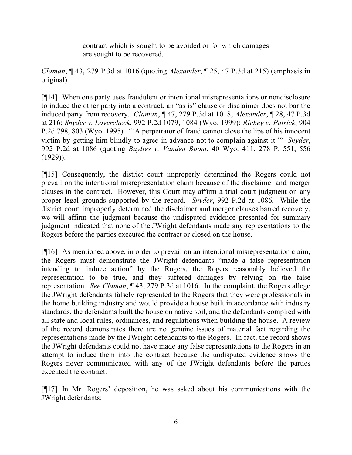contract which is sought to be avoided or for which damages are sought to be recovered.

*Claman*, ¶ 43, 279 P.3d at 1016 (quoting *Alexander*, ¶ 25, 47 P.3d at 215) (emphasis in original).

[¶14] When one party uses fraudulent or intentional misrepresentations or nondisclosure to induce the other party into a contract, an "as is" clause or disclaimer does not bar the induced party from recovery. *Claman*, ¶ 47, 279 P.3d at 1018; *Alexander*, ¶ 28, 47 P.3d at 216; *Snyder v. Lovercheck*, 992 P.2d 1079, 1084 (Wyo. 1999); *Richey v. Patrick*, 904 P.2d 798, 803 (Wyo. 1995). "'A perpetrator of fraud cannot close the lips of his innocent victim by getting him blindly to agree in advance not to complain against it.'" *Snyder*, 992 P.2d at 1086 (quoting *Baylies v. Vanden Boom*, 40 Wyo. 411, 278 P. 551, 556  $(1929)$ ).

[¶15] Consequently, the district court improperly determined the Rogers could not prevail on the intentional misrepresentation claim because of the disclaimer and merger clauses in the contract. However, this Court may affirm a trial court judgment on any proper legal grounds supported by the record. *Snyder*, 992 P.2d at 1086. While the district court improperly determined the disclaimer and merger clauses barred recovery, we will affirm the judgment because the undisputed evidence presented for summary judgment indicated that none of the JWright defendants made any representations to the Rogers before the parties executed the contract or closed on the house.

[¶16] As mentioned above, in order to prevail on an intentional misrepresentation claim, the Rogers must demonstrate the JWright defendants "made a false representation intending to induce action" by the Rogers, the Rogers reasonably believed the representation to be true, and they suffered damages by relying on the false representation. *See Claman*, ¶ 43, 279 P.3d at 1016. In the complaint, the Rogers allege the JWright defendants falsely represented to the Rogers that they were professionals in the home building industry and would provide a house built in accordance with industry standards, the defendants built the house on native soil, and the defendants complied with all state and local rules, ordinances, and regulations when building the house. A review of the record demonstrates there are no genuine issues of material fact regarding the representations made by the JWright defendants to the Rogers. In fact, the record shows the JWright defendants could not have made any false representations to the Rogers in an attempt to induce them into the contract because the undisputed evidence shows the Rogers never communicated with any of the JWright defendants before the parties executed the contract.

[¶17] In Mr. Rogers' deposition, he was asked about his communications with the JWright defendants: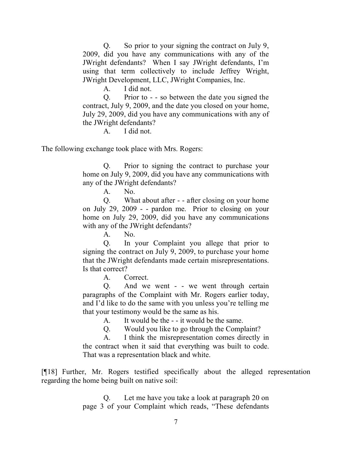Q. So prior to your signing the contract on July 9, 2009, did you have any communications with any of the JWright defendants? When I say JWright defendants, I'm using that term collectively to include Jeffrey Wright, JWright Development, LLC, JWright Companies, Inc.

A. I did not.

Q. Prior to - - so between the date you signed the contract, July 9, 2009, and the date you closed on your home, July 29, 2009, did you have any communications with any of the JWright defendants?

A. I did not.

The following exchange took place with Mrs. Rogers:

Q. Prior to signing the contract to purchase your home on July 9, 2009, did you have any communications with any of the JWright defendants?

A. No.

Q. What about after - - after closing on your home on July 29, 2009 - - pardon me. Prior to closing on your home on July 29, 2009, did you have any communications with any of the JWright defendants?

A. No.

Q. In your Complaint you allege that prior to signing the contract on July 9, 2009, to purchase your home that the JWright defendants made certain misrepresentations. Is that correct?

A. Correct.

Q. And we went - - we went through certain paragraphs of the Complaint with Mr. Rogers earlier today, and I'd like to do the same with you unless you're telling me that your testimony would be the same as his.

A. It would be the - - it would be the same.

Q. Would you like to go through the Complaint?

A. I think the misrepresentation comes directly in the contract when it said that everything was built to code. That was a representation black and white.

[¶18] Further, Mr. Rogers testified specifically about the alleged representation regarding the home being built on native soil:

> Q. Let me have you take a look at paragraph 20 on page 3 of your Complaint which reads, "These defendants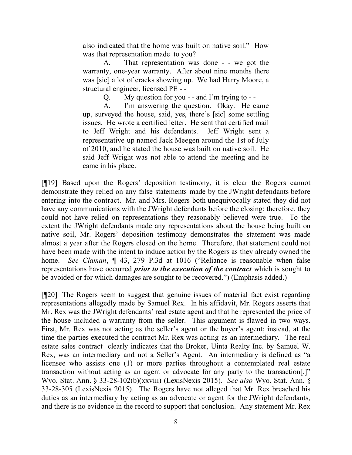also indicated that the home was built on native soil." How was that representation made to you?

A. That representation was done - - we got the warranty, one-year warranty. After about nine months there was [sic] a lot of cracks showing up. We had Harry Moore, a structural engineer, licensed PE - -

 $Q.$  My question for you - - and I'm trying to - -

A. I'm answering the question. Okay. He came up, surveyed the house, said, yes, there's [sic] some settling issues. He wrote a certified letter. He sent that certified mail to Jeff Wright and his defendants. Jeff Wright sent a representative up named Jack Meegen around the 1st of July of 2010, and he stated the house was built on native soil. He said Jeff Wright was not able to attend the meeting and he came in his place.

[¶19] Based upon the Rogers' deposition testimony, it is clear the Rogers cannot demonstrate they relied on any false statements made by the JWright defendants before entering into the contract. Mr. and Mrs. Rogers both unequivocally stated they did not have any communications with the JWright defendants before the closing; therefore, they could not have relied on representations they reasonably believed were true. To the extent the JWright defendants made any representations about the house being built on native soil, Mr. Rogers' deposition testimony demonstrates the statement was made almost a year after the Rogers closed on the home. Therefore, that statement could not have been made with the intent to induce action by the Rogers as they already owned the home. *See Claman*, ¶ 43, 279 P.3d at 1016 ("Reliance is reasonable when false representations have occurred *prior to the execution of the contract* which is sought to be avoided or for which damages are sought to be recovered.") (Emphasis added.)

[¶20] The Rogers seem to suggest that genuine issues of material fact exist regarding representations allegedly made by Samuel Rex. In his affidavit, Mr. Rogers asserts that Mr. Rex was the JWright defendants' real estate agent and that he represented the price of the house included a warranty from the seller. This argument is flawed in two ways. First, Mr. Rex was not acting as the seller's agent or the buyer's agent; instead, at the time the parties executed the contract Mr. Rex was acting as an intermediary. The real estate sales contract clearly indicates that the Broker, Uinta Realty Inc. by Samuel W. Rex, was an intermediary and not a Seller's Agent. An intermediary is defined as "a licensee who assists one (1) or more parties throughout a contemplated real estate transaction without acting as an agent or advocate for any party to the transaction[.]" Wyo. Stat. Ann. § 33-28-102(b)(xxviii) (LexisNexis 2015). *See also* Wyo. Stat. Ann. § 33-28-305 (LexisNexis 2015). The Rogers have not alleged that Mr. Rex breached his duties as an intermediary by acting as an advocate or agent for the JWright defendants, and there is no evidence in the record to support that conclusion. Any statement Mr. Rex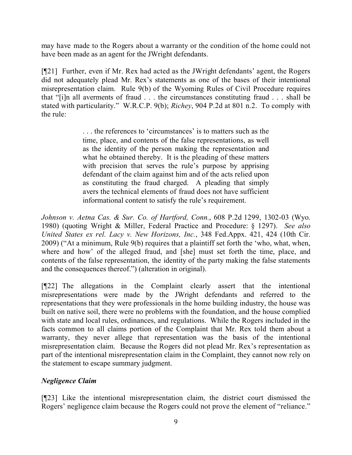may have made to the Rogers about a warranty or the condition of the home could not have been made as an agent for the JWright defendants.

[¶21] Further, even if Mr. Rex had acted as the JWright defendants' agent, the Rogers did not adequately plead Mr. Rex's statements as one of the bases of their intentional misrepresentation claim. Rule 9(b) of the Wyoming Rules of Civil Procedure requires that "[i]n all averments of fraud . . . the circumstances constituting fraud . . . shall be stated with particularity." W.R.C.P. 9(b); *Richey*, 904 P.2d at 801 n.2. To comply with the rule:

> . . . the references to 'circumstances' is to matters such as the time, place, and contents of the false representations, as well as the identity of the person making the representation and what he obtained thereby. It is the pleading of these matters with precision that serves the rule's purpose by apprising defendant of the claim against him and of the acts relied upon as constituting the fraud charged. A pleading that simply avers the technical elements of fraud does not have sufficient informational content to satisfy the rule's requirement.

*Johnson v. Aetna Cas. & Sur. Co. of Hartford, Conn.*, 608 P.2d 1299, 1302-03 (Wyo. 1980) (quoting Wright & Miller, Federal Practice and Procedure: § 1297). *See also United States ex rel. Lacy v. New Horizons, Inc.*, 348 Fed.Appx. 421, 424 (10th Cir. 2009) ("At a minimum, Rule 9(b) requires that a plaintiff set forth the 'who, what, when, where and how' of the alleged fraud, and [she] must set forth the time, place, and contents of the false representation, the identity of the party making the false statements and the consequences thereof.") (alteration in original).

[¶22] The allegations in the Complaint clearly assert that the intentional misrepresentations were made by the JWright defendants and referred to the representations that they were professionals in the home building industry, the house was built on native soil, there were no problems with the foundation, and the house complied with state and local rules, ordinances, and regulations. While the Rogers included in the facts common to all claims portion of the Complaint that Mr. Rex told them about a warranty, they never allege that representation was the basis of the intentional misrepresentation claim. Because the Rogers did not plead Mr. Rex's representation as part of the intentional misrepresentation claim in the Complaint, they cannot now rely on the statement to escape summary judgment.

## *Negligence Claim*

[¶23] Like the intentional misrepresentation claim, the district court dismissed the Rogers' negligence claim because the Rogers could not prove the element of "reliance."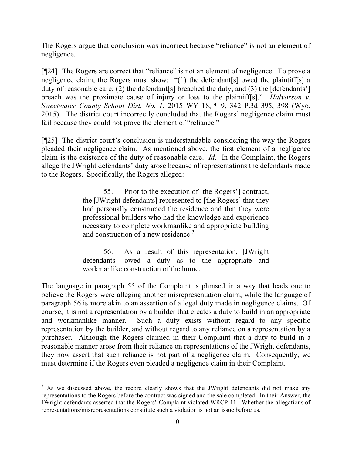The Rogers argue that conclusion was incorrect because "reliance" is not an element of negligence.

[¶24] The Rogers are correct that "reliance" is not an element of negligence. To prove a negligence claim, the Rogers must show: "(1) the defendant[s] owed the plaintiff[s] a duty of reasonable care; (2) the defendant[s] breached the duty; and (3) the [defendants'] breach was the proximate cause of injury or loss to the plaintiff[s]." *Halvorson v. Sweetwater County School Dist. No. 1*, 2015 WY 18, ¶ 9, 342 P.3d 395, 398 (Wyo. 2015). The district court incorrectly concluded that the Rogers' negligence claim must fail because they could not prove the element of "reliance."

[¶25] The district court's conclusion is understandable considering the way the Rogers pleaded their negligence claim. As mentioned above, the first element of a negligence claim is the existence of the duty of reasonable care. *Id*. In the Complaint, the Rogers allege the JWright defendants' duty arose because of representations the defendants made to the Rogers. Specifically, the Rogers alleged:

> 55. Prior to the execution of [the Rogers'] contract, the [JWright defendants] represented to [the Rogers] that they had personally constructed the residence and that they were professional builders who had the knowledge and experience necessary to complete workmanlike and appropriate building and construction of a new residence.<sup>3</sup>

> 56. As a result of this representation, [JWright defendants] owed a duty as to the appropriate and workmanlike construction of the home.

The language in paragraph 55 of the Complaint is phrased in a way that leads one to believe the Rogers were alleging another misrepresentation claim, while the language of paragraph 56 is more akin to an assertion of a legal duty made in negligence claims. Of course, it is not a representation by a builder that creates a duty to build in an appropriate and workmanlike manner. Such a duty exists without regard to any specific representation by the builder, and without regard to any reliance on a representation by a purchaser. Although the Rogers claimed in their Complaint that a duty to build in a reasonable manner arose from their reliance on representations of the JWright defendants, they now assert that such reliance is not part of a negligence claim. Consequently, we must determine if the Rogers even pleaded a negligence claim in their Complaint.

 $\overline{a}$ 

 $3$  As we discussed above, the record clearly shows that the JWright defendants did not make any representations to the Rogers before the contract was signed and the sale completed. In their Answer, the JWright defendants asserted that the Rogers' Complaint violated WRCP 11. Whether the allegations of representations/misrepresentations constitute such a violation is not an issue before us.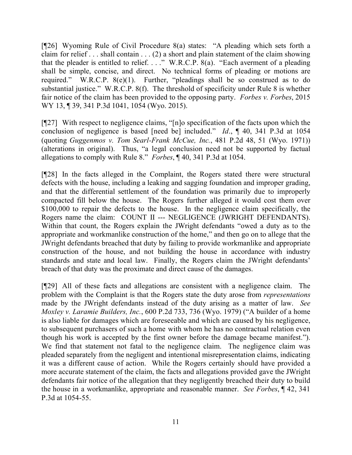[¶26] Wyoming Rule of Civil Procedure 8(a) states: "A pleading which sets forth a claim for relief . . . shall contain . . . (2) a short and plain statement of the claim showing that the pleader is entitled to relief. . . ." W.R.C.P. 8(a). "Each averment of a pleading shall be simple, concise, and direct. No technical forms of pleading or motions are required." W.R.C.P. 8(e)(1). Further, "pleadings shall be so construed as to do substantial justice." W.R.C.P. 8(f). The threshold of specificity under Rule 8 is whether fair notice of the claim has been provided to the opposing party. *Forbes v. Forbes*, 2015 WY 13, 139, 341 P.3d 1041, 1054 (Wyo. 2015).

[¶27] With respect to negligence claims, "[n]o specification of the facts upon which the conclusion of negligence is based [need be] included." *Id*., ¶ 40, 341 P.3d at 1054 (quoting *Guggenmos v. Tom Searl-Frank McCue, Inc.*, 481 P.2d 48, 51 (Wyo. 1971)) (alterations in original). Thus, "a legal conclusion need not be supported by factual allegations to comply with Rule 8." *Forbes*, ¶ 40, 341 P.3d at 1054.

[¶28] In the facts alleged in the Complaint, the Rogers stated there were structural defects with the house, including a leaking and sagging foundation and improper grading, and that the differential settlement of the foundation was primarily due to improperly compacted fill below the house. The Rogers further alleged it would cost them over \$100,000 to repair the defects to the house. In the negligence claim specifically, the Rogers name the claim: COUNT II --- NEGLIGENCE (JWRIGHT DEFENDANTS). Within that count, the Rogers explain the JWright defendants "owed a duty as to the appropriate and workmanlike construction of the home," and then go on to allege that the JWright defendants breached that duty by failing to provide workmanlike and appropriate construction of the house, and not building the house in accordance with industry standards and state and local law. Finally, the Rogers claim the JWright defendants' breach of that duty was the proximate and direct cause of the damages.

[¶29] All of these facts and allegations are consistent with a negligence claim. The problem with the Complaint is that the Rogers state the duty arose from *representations* made by the JWright defendants instead of the duty arising as a matter of law. *See Moxley v. Laramie Builders, Inc.*, 600 P.2d 733, 736 (Wyo. 1979) ("A builder of a home is also liable for damages which are foreseeable and which are caused by his negligence, to subsequent purchasers of such a home with whom he has no contractual relation even though his work is accepted by the first owner before the damage became manifest."). We find that statement not fatal to the negligence claim. The negligence claim was pleaded separately from the negligent and intentional misrepresentation claims, indicating it was a different cause of action. While the Rogers certainly should have provided a more accurate statement of the claim, the facts and allegations provided gave the JWright defendants fair notice of the allegation that they negligently breached their duty to build the house in a workmanlike, appropriate and reasonable manner. *See Forbes*, ¶ 42, 341 P.3d at 1054-55.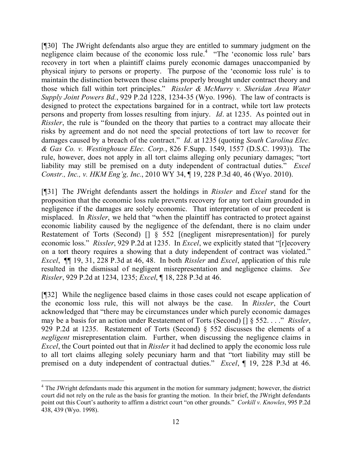[¶30] The JWright defendants also argue they are entitled to summary judgment on the negligence claim because of the economic loss rule.<sup>4</sup> "The 'economic loss rule' bars recovery in tort when a plaintiff claims purely economic damages unaccompanied by physical injury to persons or property. The purpose of the 'economic loss rule' is to maintain the distinction between those claims properly brought under contract theory and those which fall within tort principles." *Rissler & McMurry v. Sheridan Area Water Supply Joint Powers Bd.*, 929 P.2d 1228, 1234-35 (Wyo. 1996). The law of contracts is designed to protect the expectations bargained for in a contract, while tort law protects persons and property from losses resulting from injury. *Id*. at 1235. As pointed out in *Rissler*, the rule is "founded on the theory that parties to a contract may allocate their risks by agreement and do not need the special protections of tort law to recover for damages caused by a breach of the contract." *Id*. at 1235 (quoting *South Carolina Elec. & Gas Co. v. Westinghouse Elec. Corp.*, 826 F.Supp. 1549, 1557 (D.S.C. 1993)). The rule, however, does not apply in all tort claims alleging only pecuniary damages; "tort liability may still be premised on a duty independent of contractual duties." *Excel Constr., Inc., v. HKM Eng'g, Inc.*, 2010 WY 34, ¶ 19, 228 P.3d 40, 46 (Wyo. 2010).

[¶31] The JWright defendants assert the holdings in *Rissler* and *Excel* stand for the proposition that the economic loss rule prevents recovery for any tort claim grounded in negligence if the damages are solely economic. That interpretation of our precedent is misplaced. In *Rissler*, we held that "when the plaintiff has contracted to protect against economic liability caused by the negligence of the defendant, there is no claim under Restatement of Torts (Second) [] § 552 [(negligent misrepresentation)] for purely economic loss." *Rissler*, 929 P.2d at 1235. In *Excel*, we explicitly stated that "[r]ecovery on a tort theory requires a showing that a duty independent of contract was violated." *Excel*, ¶¶ 19, 31, 228 P.3d at 46, 48. In both *Rissler* and *Excel*, application of this rule resulted in the dismissal of negligent misrepresentation and negligence claims. *See Rissler*, 929 P.2d at 1234, 1235; *Excel*, ¶ 18, 228 P.3d at 46.

[¶32] While the negligence based claims in those cases could not escape application of the economic loss rule, this will not always be the case. In *Rissler*, the Court acknowledged that "there may be circumstances under which purely economic damages may be a basis for an action under Restatement of Torts (Second) [] § 552. . . ." *Rissler*, 929 P.2d at 1235. Restatement of Torts (Second) § 552 discusses the elements of a *negligent* misrepresentation claim. Further, when discussing the negligence claims in *Excel*, the Court pointed out that in *Rissler* it had declined to apply the economic loss rule to all tort claims alleging solely pecuniary harm and that "tort liability may still be premised on a duty independent of contractual duties." *Excel*, ¶ 19, 228 P.3d at 46.

 $\overline{a}$ 

 $4$  The JWright defendants made this argument in the motion for summary judgment; however, the district court did not rely on the rule as the basis for granting the motion. In their brief, the JWright defendants point out this Court's authority to affirm a district court "on other grounds." *Corkill v. Knowles*, 995 P.2d 438, 439 (Wyo. 1998).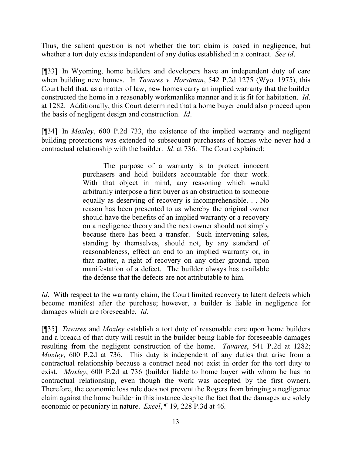Thus, the salient question is not whether the tort claim is based in negligence, but whether a tort duty exists independent of any duties established in a contract. *See id*.

[¶33] In Wyoming, home builders and developers have an independent duty of care when building new homes. In *Tavares v. Horstman*, 542 P.2d 1275 (Wyo. 1975), this Court held that, as a matter of law, new homes carry an implied warranty that the builder constructed the home in a reasonably workmanlike manner and it is fit for habitation. *Id*. at 1282. Additionally, this Court determined that a home buyer could also proceed upon the basis of negligent design and construction. *Id*.

[¶34] In *Moxley*, 600 P.2d 733, the existence of the implied warranty and negligent building protections was extended to subsequent purchasers of homes who never had a contractual relationship with the builder. *Id*. at 736. The Court explained:

> The purpose of a warranty is to protect innocent purchasers and hold builders accountable for their work. With that object in mind, any reasoning which would arbitrarily interpose a first buyer as an obstruction to someone equally as deserving of recovery is incomprehensible. . . No reason has been presented to us whereby the original owner should have the benefits of an implied warranty or a recovery on a negligence theory and the next owner should not simply because there has been a transfer. Such intervening sales, standing by themselves, should not, by any standard of reasonableness, effect an end to an implied warranty or, in that matter, a right of recovery on any other ground, upon manifestation of a defect. The builder always has available the defense that the defects are not attributable to him.

*Id.* With respect to the warranty claim, the Court limited recovery to latent defects which become manifest after the purchase; however, a builder is liable in negligence for damages which are foreseeable. *Id*.

[¶35] *Tavares* and *Moxley* establish a tort duty of reasonable care upon home builders and a breach of that duty will result in the builder being liable for foreseeable damages resulting from the negligent construction of the home. *Tavares*, 541 P.2d at 1282; *Moxley*, 600 P.2d at 736. This duty is independent of any duties that arise from a contractual relationship because a contract need not exist in order for the tort duty to exist. *Moxley*, 600 P.2d at 736 (builder liable to home buyer with whom he has no contractual relationship, even though the work was accepted by the first owner). Therefore, the economic loss rule does not prevent the Rogers from bringing a negligence claim against the home builder in this instance despite the fact that the damages are solely economic or pecuniary in nature. *Excel*, ¶ 19, 228 P.3d at 46.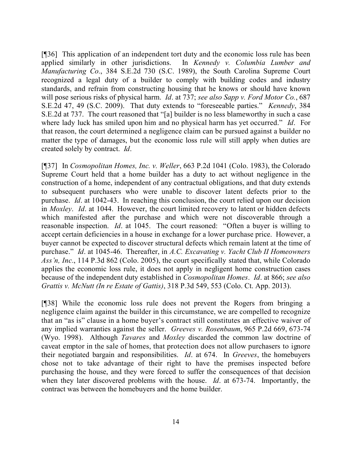[¶36] This application of an independent tort duty and the economic loss rule has been applied similarly in other jurisdictions. In *Kennedy v. Columbia Lumber and Manufacturing Co.*, 384 S.E.2d 730 (S.C. 1989), the South Carolina Supreme Court recognized a legal duty of a builder to comply with building codes and industry standards, and refrain from constructing housing that he knows or should have known will pose serious risks of physical harm. *Id*. at 737; *see also Sapp v. Ford Motor Co.*, 687 S.E.2d 47, 49 (S.C. 2009). That duty extends to "foreseeable parties." *Kennedy*, 384 S.E.2d at 737. The court reasoned that "[a] builder is no less blameworthy in such a case where lady luck has smiled upon him and no physical harm has yet occurred." *Id*. For that reason, the court determined a negligence claim can be pursued against a builder no matter the type of damages, but the economic loss rule will still apply when duties are created solely by contract. *Id*.

[¶37] In *Cosmopolitan Homes, Inc. v. Weller*, 663 P.2d 1041 (Colo. 1983), the Colorado Supreme Court held that a home builder has a duty to act without negligence in the construction of a home, independent of any contractual obligations, and that duty extends to subsequent purchasers who were unable to discover latent defects prior to the purchase. *Id*. at 1042-43. In reaching this conclusion, the court relied upon our decision in *Moxley*. *Id*. at 1044. However, the court limited recovery to latent or hidden defects which manifested after the purchase and which were not discoverable through a reasonable inspection. *Id*. at 1045. The court reasoned: "Often a buyer is willing to accept certain deficiencies in a house in exchange for a lower purchase price. However, a buyer cannot be expected to discover structural defects which remain latent at the time of purchase." *Id*. at 1045-46. Thereafter, in *A.C. Excavating v. Yacht Club II Homeowners Ass'n, Inc.*, 114 P.3d 862 (Colo. 2005), the court specifically stated that, while Colorado applies the economic loss rule, it does not apply in negligent home construction cases because of the independent duty established in *Cosmopolitan Homes*. *Id*. at 866; *see also Grattis v. McNutt (In re Estate of Gattis)*, 318 P.3d 549, 553 (Colo. Ct. App. 2013).

[¶38] While the economic loss rule does not prevent the Rogers from bringing a negligence claim against the builder in this circumstance, we are compelled to recognize that an "as is" clause in a home buyer's contract still constitutes an effective waiver of any implied warranties against the seller. *Greeves v. Rosenbaum*, 965 P.2d 669, 673-74 (Wyo. 1998). Although *Tavares* and *Moxley* discarded the common law doctrine of caveat emptor in the sale of homes, that protection does not allow purchasers to ignore their negotiated bargain and responsibilities. *Id*. at 674. In *Greeves*, the homebuyers chose not to take advantage of their right to have the premises inspected before purchasing the house, and they were forced to suffer the consequences of that decision when they later discovered problems with the house. *Id*. at 673-74. Importantly, the contract was between the homebuyers and the home builder.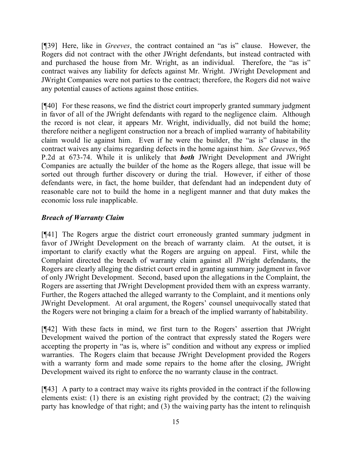[¶39] Here, like in *Greeves*, the contract contained an "as is" clause. However, the Rogers did not contract with the other JWright defendants, but instead contracted with and purchased the house from Mr. Wright, as an individual. Therefore, the "as is" contract waives any liability for defects against Mr. Wright. JWright Development and JWright Companies were not parties to the contract; therefore, the Rogers did not waive any potential causes of actions against those entities.

[¶40] For these reasons, we find the district court improperly granted summary judgment in favor of all of the JWright defendants with regard to the negligence claim. Although the record is not clear, it appears Mr. Wright, individually, did not build the home; therefore neither a negligent construction nor a breach of implied warranty of habitability claim would lie against him. Even if he were the builder, the "as is" clause in the contract waives any claims regarding defects in the home against him. *See Greeves*, 965 P.2d at 673-74. While it is unlikely that *both* JWright Development and JWright Companies are actually the builder of the home as the Rogers allege, that issue will be sorted out through further discovery or during the trial. However, if either of those defendants were, in fact, the home builder, that defendant had an independent duty of reasonable care not to build the home in a negligent manner and that duty makes the economic loss rule inapplicable.

# *Breach of Warranty Claim*

[¶41] The Rogers argue the district court erroneously granted summary judgment in favor of JWright Development on the breach of warranty claim. At the outset, it is important to clarify exactly what the Rogers are arguing on appeal. First, while the Complaint directed the breach of warranty claim against all JWright defendants, the Rogers are clearly alleging the district court erred in granting summary judgment in favor of only JWright Development. Second, based upon the allegations in the Complaint, the Rogers are asserting that JWright Development provided them with an express warranty. Further, the Rogers attached the alleged warranty to the Complaint, and it mentions only JWright Development. At oral argument, the Rogers' counsel unequivocally stated that the Rogers were not bringing a claim for a breach of the implied warranty of habitability.

[¶42] With these facts in mind, we first turn to the Rogers' assertion that JWright Development waived the portion of the contract that expressly stated the Rogers were accepting the property in "as is, where is" condition and without any express or implied warranties. The Rogers claim that because JWright Development provided the Rogers with a warranty form and made some repairs to the home after the closing, JWright Development waived its right to enforce the no warranty clause in the contract.

[¶43] A party to a contract may waive its rights provided in the contract if the following elements exist: (1) there is an existing right provided by the contract; (2) the waiving party has knowledge of that right; and (3) the waiving party has the intent to relinquish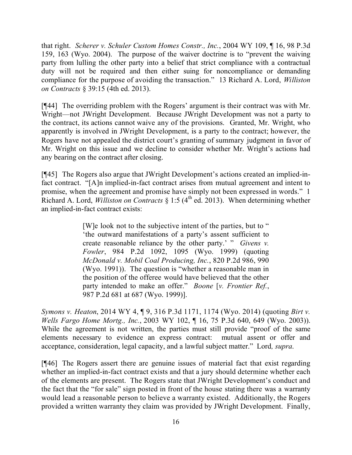that right. *Scherer v. Schuler Custom Homes Constr., Inc.*, 2004 WY 109, ¶ 16, 98 P.3d 159, 163 (Wyo. 2004). The purpose of the waiver doctrine is to "prevent the waiving party from lulling the other party into a belief that strict compliance with a contractual duty will not be required and then either suing for noncompliance or demanding compliance for the purpose of avoiding the transaction." 13 Richard A. Lord, *Williston on Contracts* § 39:15 (4th ed. 2013).

[¶44] The overriding problem with the Rogers' argument is their contract was with Mr. Wright—not JWright Development. Because JWright Development was not a party to the contract, its actions cannot waive any of the provisions. Granted, Mr. Wright, who apparently is involved in JWright Development, is a party to the contract; however, the Rogers have not appealed the district court's granting of summary judgment in favor of Mr. Wright on this issue and we decline to consider whether Mr. Wright's actions had any bearing on the contract after closing.

[¶45] The Rogers also argue that JWright Development's actions created an implied-infact contract. "[A]n implied-in-fact contract arises from mutual agreement and intent to promise, when the agreement and promise have simply not been expressed in words." 1 Richard A. Lord, *Williston on Contracts* § 1:5 ( $4<sup>th</sup>$  ed. 2013). When determining whether an implied-in-fact contract exists:

> [W]e look not to the subjective intent of the parties, but to " 'the outward manifestations of a party's assent sufficient to create reasonable reliance by the other party.' " *Givens v. Fowler*, 984 P.2d 1092, 1095 (Wyo. 1999) (quoting *McDonald v. Mobil Coal Producing, Inc.*, 820 P.2d 986, 990 (Wyo. 1991)). The question is "whether a reasonable man in the position of the offeree would have believed that the other party intended to make an offer." *Boone* [*v. Frontier Ref.*, 987 P.2d 681 at 687 (Wyo. 1999)].

*Symons v. Heaton*, 2014 WY 4, ¶ 9, 316 P.3d 1171, 1174 (Wyo. 2014) (quoting *Birt v. Wells Fargo Home Mortg., Inc.*, 2003 WY 102, ¶ 16, 75 P.3d 640, 649 (Wyo. 2003)). While the agreement is not written, the parties must still provide "proof of the same elements necessary to evidence an express contract: mutual assent or offer and acceptance, consideration, legal capacity, and a lawful subject matter." Lord*, supra*.

[¶46] The Rogers assert there are genuine issues of material fact that exist regarding whether an implied-in-fact contract exists and that a jury should determine whether each of the elements are present. The Rogers state that JWright Development's conduct and the fact that the "for sale" sign posted in front of the house stating there was a warranty would lead a reasonable person to believe a warranty existed. Additionally, the Rogers provided a written warranty they claim was provided by JWright Development. Finally,